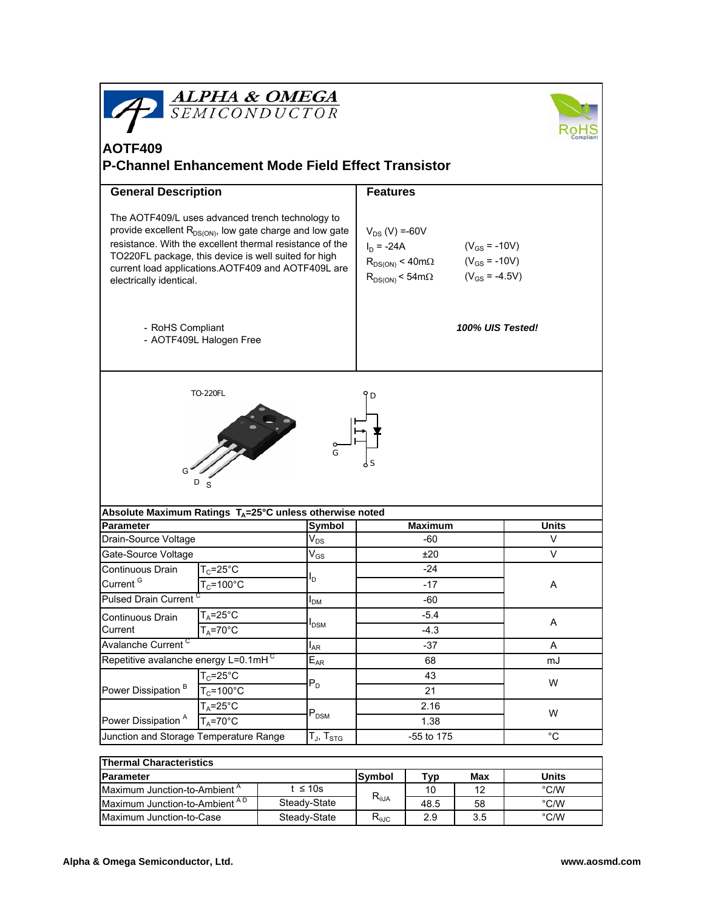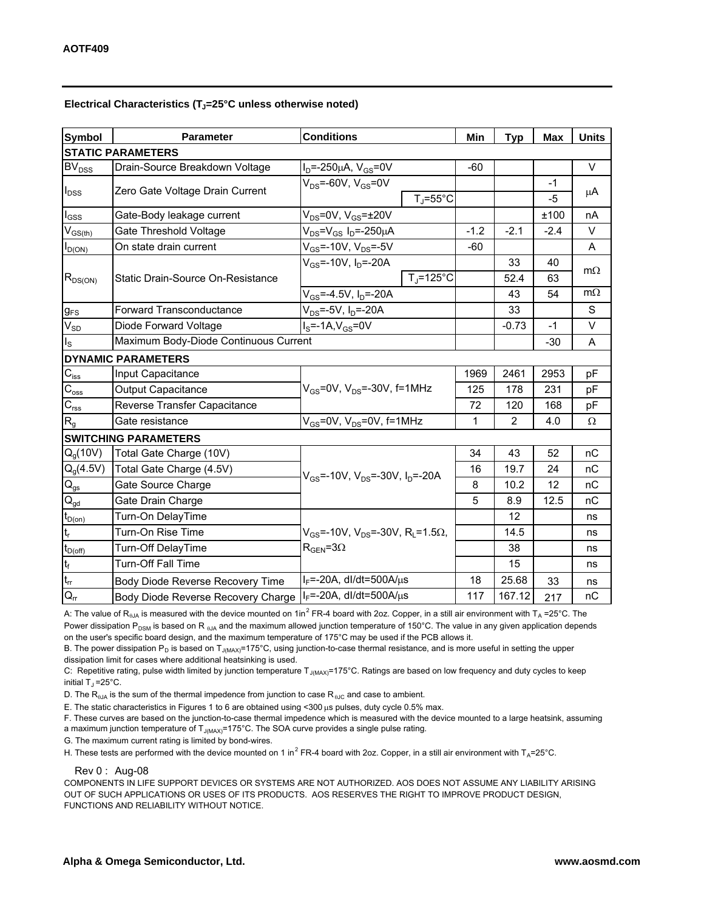## Electrical Characteristics (T<sub>J</sub>=25°C unless otherwise noted)

| <b>Symbol</b>               | <b>Parameter</b>                         | <b>Conditions</b>                                                                            | Min    | <b>Typ</b>     | <b>Max</b> | <b>Units</b> |
|-----------------------------|------------------------------------------|----------------------------------------------------------------------------------------------|--------|----------------|------------|--------------|
| <b>STATIC PARAMETERS</b>    |                                          |                                                                                              |        |                |            |              |
| <b>BV<sub>DSS</sub></b>     | Drain-Source Breakdown Voltage           | $I_D = -250 \mu A$ , $V_{GS} = 0V$                                                           | $-60$  |                |            | V            |
| $I_{DSS}$                   | Zero Gate Voltage Drain Current          | $V_{DS} = -60V$ , $V_{GS} = 0V$                                                              |        |                | $-1$       | μA           |
|                             |                                          | $T_{J}$ =55°C                                                                                |        |                | $-5$       |              |
| $I_{GSS}$                   | Gate-Body leakage current                | $V_{DS}$ =0V, $V_{GS}$ = $\pm$ 20V                                                           |        |                | ±100       | nA           |
| $V_{GS(th)}$                | Gate Threshold Voltage                   | $V_{DS} = V_{GS} I_D = -250 \mu A$                                                           | $-1.2$ | $-2.1$         | $-2.4$     | V            |
| $I_{D(O$                    | On state drain current                   | $V_{GS}$ =-10V, $V_{DS}$ =-5V                                                                | $-60$  |                |            | A            |
| $R_{DS(ON)}$                | <b>Static Drain-Source On-Resistance</b> | $V_{GS}$ =-10V, $I_{D}$ =-20A                                                                |        | 33             | 40         | $m\Omega$    |
|                             |                                          | $T_i = 125^{\circ}C$                                                                         |        | 52.4           | 63         |              |
|                             |                                          | $V_{GS}$ =-4.5V, $I_D$ =-20A                                                                 |        | 43             | 54         | $m\Omega$    |
| $g_{FS}$                    | <b>Forward Transconductance</b>          | $V_{DS}$ =-5V, $I_D$ =-20A                                                                   |        | 33             |            | S            |
| $V_{SD}$                    | Diode Forward Voltage                    | $IS=-1A,VGS=0V$                                                                              |        | $-0.73$        | $-1$       | V            |
| $I_{\rm S}$                 | Maximum Body-Diode Continuous Current    |                                                                                              |        |                | $-30$      | A            |
| <b>DYNAMIC PARAMETERS</b>   |                                          |                                                                                              |        |                |            |              |
| $C_{\text{iss}}$            | Input Capacitance                        | $V_{GS}$ =0V, V <sub>DS</sub> =-30V, f=1MHz                                                  | 1969   | 2461           | 2953       | pF           |
| $C_{\rm oss}$               | <b>Output Capacitance</b>                |                                                                                              | 125    | 178            | 231        | рF           |
| C <sub>rss</sub>            | Reverse Transfer Capacitance             |                                                                                              | 72     | 120            | 168        | pF           |
| $R_{g}$                     | Gate resistance                          | $V_{GS}$ =0V, $V_{DS}$ =0V, f=1MHz                                                           | 1      | $\overline{2}$ | 4.0        | Ω            |
| <b>SWITCHING PARAMETERS</b> |                                          |                                                                                              |        |                |            |              |
| Q <sub>a</sub> (10V)        | Total Gate Charge (10V)                  | $V_{GS}$ =-10V, $V_{DS}$ =-30V, $I_D$ =-20A                                                  | 34     | 43             | 52         | nC           |
| $Q_g(4.5V)$                 | Total Gate Charge (4.5V)                 |                                                                                              | 16     | 19.7           | 24         | nC           |
| $\mathsf{Q}_{\mathsf{gs}}$  | Gate Source Charge                       |                                                                                              | 8      | 10.2           | 12         | nC           |
| $Q_{\textrm{gd}}$           | Gate Drain Charge                        |                                                                                              | 5      | 8.9            | 12.5       | nC           |
| $t_{D(on)}$                 | Turn-On DelayTime                        | $V_{GS}$ =-10V, $V_{DS}$ =-30V, R <sub>1</sub> =1.5 $\Omega$ ,<br>$R_{\text{GEN}} = 3\Omega$ |        | 12             |            | ns           |
| t,                          | Turn-On Rise Time                        |                                                                                              |        | 14.5           |            | ns           |
| $t_{D(off)}$                | Turn-Off DelayTime                       |                                                                                              |        | 38             |            | ns           |
| $\mathbf{t}_\mathrm{f}$     | <b>Turn-Off Fall Time</b>                |                                                                                              |        | 15             |            | ns           |
| $t_{rr}$                    | Body Diode Reverse Recovery Time         | $I_F$ =-20A, dl/dt=500A/ $\mu$ s                                                             | 18     | 25.68          | 33         | ns           |
| $Q_{rr}$                    | Body Diode Reverse Recovery Charge       | $I_F$ =-20A, dl/dt=500A/ $\mu$ s                                                             | 117    | 167.12         | 217        | пC           |

A: The value of R<sub>6JA</sub> is measured with the device mounted on 1in<sup>2</sup> FR-4 board with 2oz. Copper, in a still air environment with T<sub>A</sub> =25°C. The Power dissipation P<sub>DSM</sub> is based on R <sub>θJA</sub> and the maximum allowed junction temperature of 150°C. The value in any given application depends on the user's specific board design, and the maximum temperature of 175°C may be used if the PCB allows it.

B. The power dissipation  $P_D$  is based on  $T_{J(MAX)}$ =175°C, using junction-to-case thermal resistance, and is more useful in setting the upper dissipation limit for cases where additional heatsinking is used.

C: Repetitive rating, pulse width limited by junction temperature T<sub>J(MAX)</sub>=175°C. Ratings are based on low frequency and duty cycles to keep initial  $T_J = 25^{\circ}C$ .

D. The  $R_{\theta JA}$  is the sum of the thermal impedence from junction to case  $R_{\theta JC}$  and case to ambient.

E. The static characteristics in Figures 1 to 6 are obtained using <300 µs pulses, duty cycle 0.5% max.

F. These curves are based on the junction-to-case thermal impedence which is measured with the device mounted to a large heatsink, assuming a maximum junction temperature of  $T_{J(MAX)}$ =175°C. The SOA curve provides a single pulse rating.

G. The maximum current rating is limited by bond-wires.

H. These tests are performed with the device mounted on 1 in<sup>2</sup> FR-4 board with 2oz. Copper, in a still air environment with T<sub>A</sub>=25°C.

Rev 0 : Aug-08

COMPONENTS IN LIFE SUPPORT DEVICES OR SYSTEMS ARE NOT AUTHORIZED. AOS DOES NOT ASSUME ANY LIABILITY ARISING OUT OF SUCH APPLICATIONS OR USES OF ITS PRODUCTS. AOS RESERVES THE RIGHT TO IMPROVE PRODUCT DESIGN, FUNCTIONS AND RELIABILITY WITHOUT NOTICE.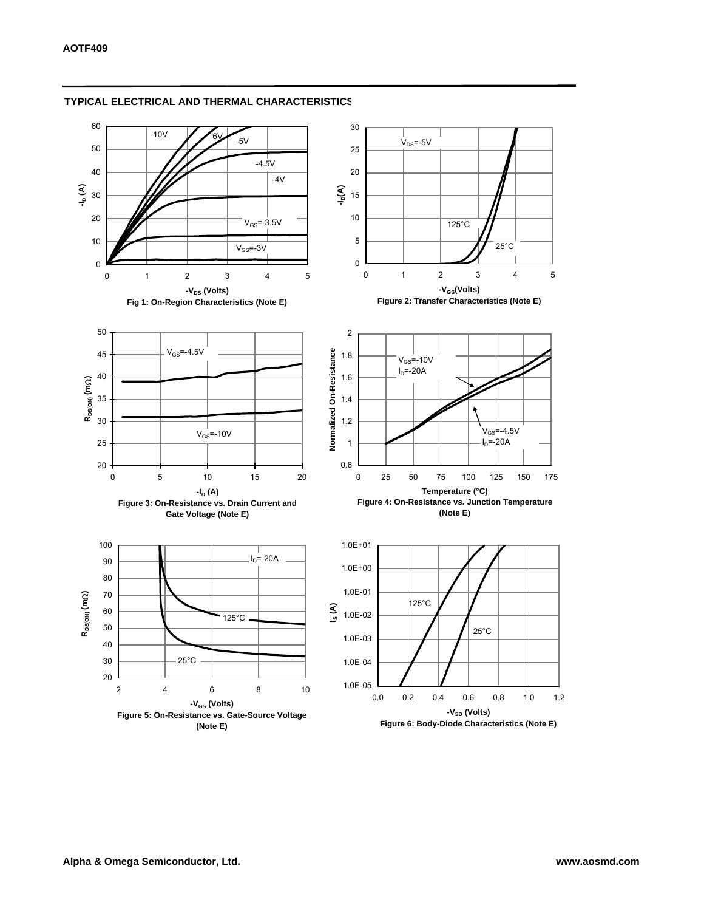

### **TYPICAL ELECTRICAL AND THERMAL CHARACTERISTICS**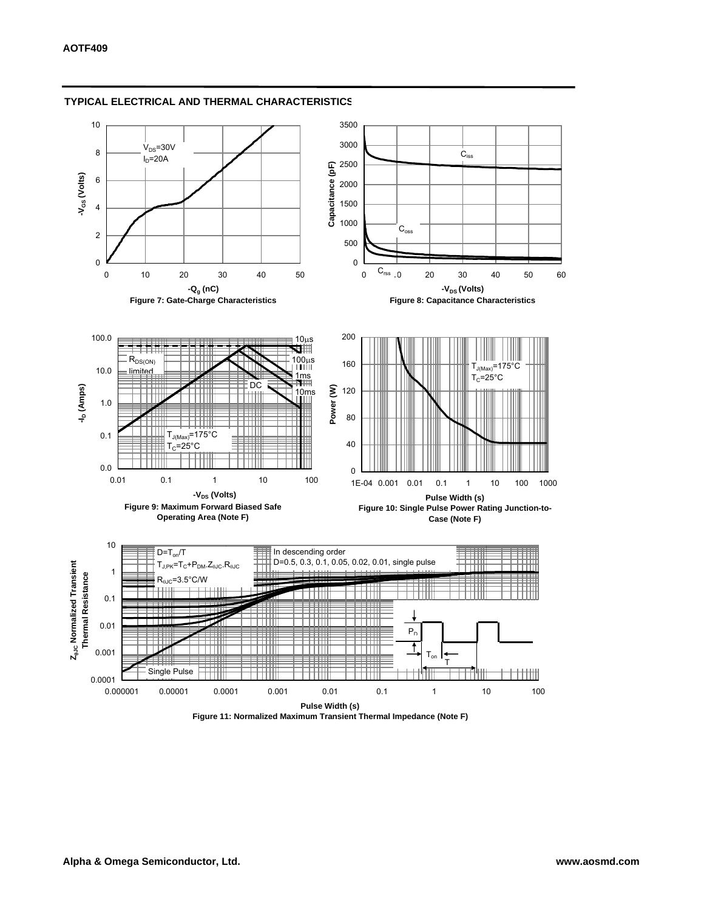

### **TYPICAL ELECTRICAL AND THERMAL CHARACTERISTICS**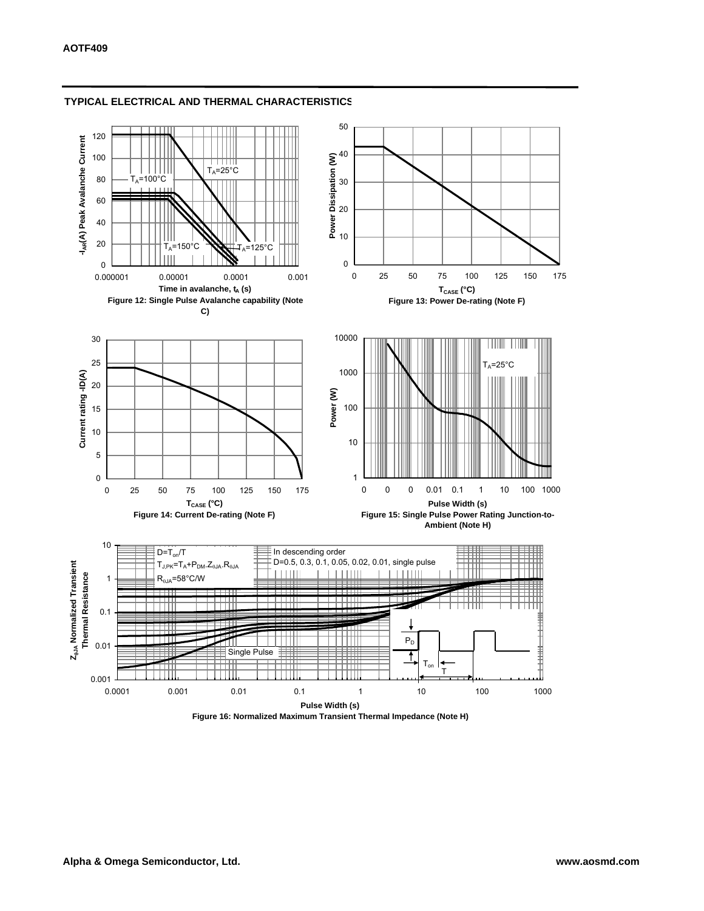